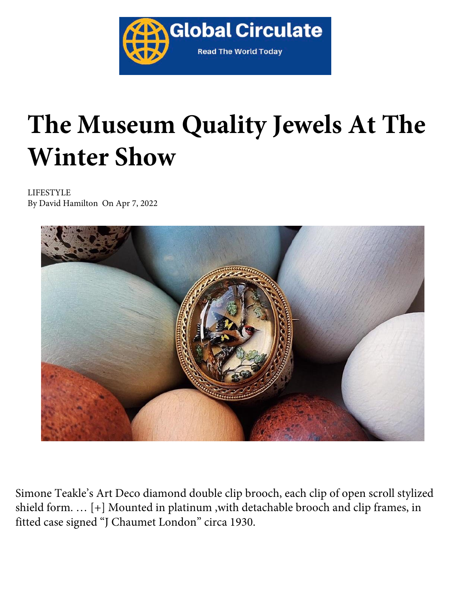

## **The Museum Quality Jewels At The Winter Show**

LIFESTYLE By David Hamilton On Apr 7, 2022



Simone Teakle's Art Deco diamond double clip brooch, each clip of open scroll stylized shield form. … [+] Mounted in platinum ,with detachable brooch and clip frames, in fitted case signed "J Chaumet London" circa 1930.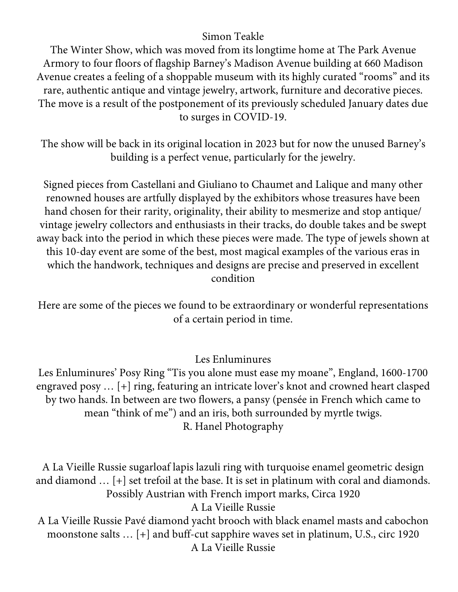## Simon Teakle

The Winter Show, which was moved from its longtime home at The Park Avenue Armory to four floors of flagship Barney's Madison Avenue building at 660 Madison Avenue creates a feeling of a shoppable museum with its highly curated "rooms" and its rare, authentic antique and vintage jewelry, artwork, furniture and decorative pieces. The move is a result of the postponement of its previously scheduled January dates due to surges in COVID-19.

The show will be back in its original location in 2023 but for now the unused Barney's building is a perfect venue, particularly for the jewelry.

Signed pieces from Castellani and Giuliano to Chaumet and Lalique and many other renowned houses are artfully displayed by the exhibitors whose treasures have been hand chosen for their rarity, originality, their ability to mesmerize and stop antique/ vintage jewelry collectors and enthusiasts in their tracks, do double takes and be swept away back into the period in which these pieces were made. The type of jewels shown at this 10-day event are some of the best, most magical examples of the various eras in which the handwork, techniques and designs are precise and preserved in excellent condition

Here are some of the pieces we found to be extraordinary or wonderful representations of a certain period in time.

Les Enluminures

Les Enluminures' Posy Ring "Tis you alone must ease my moane", England, 1600-1700 engraved posy … [+] ring, featuring an intricate lover's knot and crowned heart clasped by two hands. In between are two flowers, a pansy (pensée in French which came to mean "think of me") and an iris, both surrounded by myrtle twigs. R. Hanel Photography

A La Vieille Russie sugarloaf lapis lazuli ring with turquoise enamel geometric design and diamond … [+] set trefoil at the base. It is set in platinum with coral and diamonds. Possibly Austrian with French import marks, Circa 1920

A La Vieille Russie

A La Vieille Russie Pavé diamond yacht brooch with black enamel masts and cabochon moonstone salts … [+] and buff-cut sapphire waves set in platinum, U.S., circ 1920 A La Vieille Russie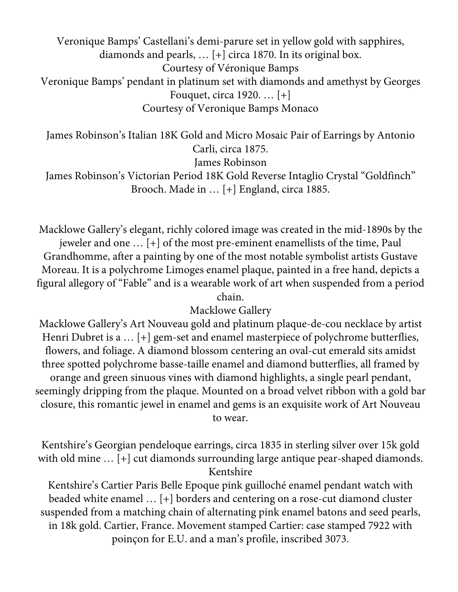Veronique Bamps' Castellani's demi-parure set in yellow gold with sapphires, diamonds and pearls, … [+] circa 1870. In its original box. Courtesy of Véronique Bamps Veronique Bamps' pendant in platinum set with diamonds and amethyst by Georges Fouquet, circa 1920. … [+] Courtesy of Veronique Bamps Monaco

James Robinson's Italian 18K Gold and Micro Mosaic Pair of Earrings by Antonio Carli, circa 1875. James Robinson

James Robinson's Victorian Period 18K Gold Reverse Intaglio Crystal "Goldfinch" Brooch. Made in … [+] England, circa 1885.

Macklowe Gallery's elegant, richly colored image was created in the mid-1890s by the jeweler and one … [+] of the most pre-eminent enamellists of the time, Paul Grandhomme, after a painting by one of the most notable symbolist artists Gustave Moreau. It is a polychrome Limoges enamel plaque, painted in a free hand, depicts a figural allegory of "Fable" and is a wearable work of art when suspended from a period chain.

## Macklowe Gallery

Macklowe Gallery's Art Nouveau gold and platinum plaque-de-cou necklace by artist Henri Dubret is a … [+] gem-set and enamel masterpiece of polychrome butterflies, flowers, and foliage. A diamond blossom centering an oval-cut emerald sits amidst three spotted polychrome basse-taille enamel and diamond butterflies, all framed by orange and green sinuous vines with diamond highlights, a single pearl pendant, seemingly dripping from the plaque. Mounted on a broad velvet ribbon with a gold bar closure, this romantic jewel in enamel and gems is an exquisite work of Art Nouveau to wear.

Kentshire's Georgian pendeloque earrings, circa 1835 in sterling silver over 15k gold with old mine ... [+] cut diamonds surrounding large antique pear-shaped diamonds. Kentshire

Kentshire's Cartier Paris Belle Epoque pink guilloché enamel pendant watch with beaded white enamel … [+] borders and centering on a rose-cut diamond cluster suspended from a matching chain of alternating pink enamel batons and seed pearls, in 18k gold. Cartier, France. Movement stamped Cartier: case stamped 7922 with poinçon for E.U. and a man's profile, inscribed 3073.